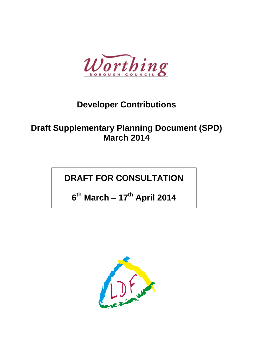

# **Developer Contributions**

# **Draft Supplementary Planning Document (SPD) March 2014**

# **DRAFT FOR CONSULTATION**

**6 th March – 17th April 2014**

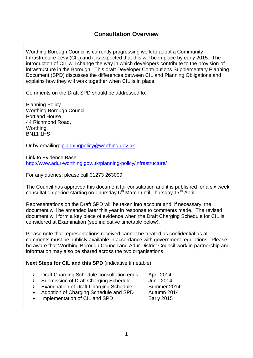Worthing Borough Council is currently progressing work to adopt a Community Infrastructure Levy (CIL) and it is expected that this will be in place by early 2015. The introduction of CIL will change the way in which developers contribute to the provision of infrastructure in the Borough. This draft Developer Contributions Supplementary Planning Document (SPD) discusses the differences between CIL and Planning Obligations and explains how they will work together when CIL is in place.

Comments on the Draft SPD should be addressed to:

Planning Policy Worthing Borough Council, Portland House, 44 Richmond Road, Worthing, BN11 1HS

Or by emailing: [planningpolicy@worthing.gov.uk](mailto:planningpolicy@worthing.gov.uk)

Link to Evidence Base: <http://www.adur-worthing.gov.uk/planning-policy/infrastructure/>

For any queries, please call 01273 263009

The Council has approved this document for consultation and it is published for a six week consultation period starting on Thursday  $6<sup>th</sup>$  March until Thursday 17<sup>th</sup> April.

Representations on the Draft SPD will be taken into account and, if necessary, the document will be amended later this year in response to comments made. The revised document will form a key piece of evidence when the Draft Charging Schedule for CIL is considered at Examination (see indicative timetable below).

Please note that representations received cannot be treated as confidential as all comments must be publicly available in accordance with government regulations. Please be aware that Worthing Borough Council and Adur District Council work in partnership and information may also be shared across the two organisations.

**Next Steps for CIL and this SPD** (indicative timetable)

- > Draft Charging Schedule consultation ends April 2014
- > Submission of Draft Charging Schedule June 2014
- > Examination of Draft Charging Schedule Summer 2014
- > Adoption of Charging Schedule and SPD Autumn 2014
- > Implementation of CIL and SPD Early 2015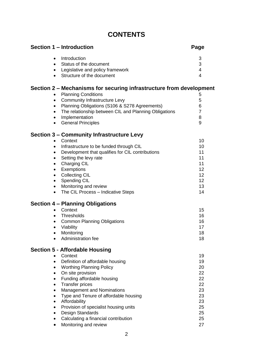## **CONTENTS**

| Section 1 - Introduction                                            | Page           |
|---------------------------------------------------------------------|----------------|
| Introduction<br>$\bullet$                                           | 3              |
| Status of the document<br>$\bullet$                                 | 3              |
| Legislative and policy framework<br>$\bullet$                       | 4              |
| Structure of the document<br>$\bullet$                              | 4              |
| Section 2 – Mechanisms for securing infrastructure from development |                |
| <b>Planning Conditions</b>                                          | 5              |
| <b>Community Infrastructure Levy</b><br>$\bullet$                   | 5              |
| Planning Obligations (S106 & S278 Agreements)<br>$\bullet$          | 6              |
| The relationship between CIL and Planning Obligations<br>٠          | $\overline{7}$ |
| Implementation<br>٠                                                 | 8              |
| <b>General Principles</b><br>$\bullet$                              | 9              |
| <b>Section 3 - Community Infrastructure Levy</b>                    |                |
| Context<br>$\bullet$                                                | 10             |
| Infrastructure to be funded through CIL<br>٠                        | 10             |
| Development that qualifies for CIL contributions<br>٠               | 11             |
| Setting the levy rate<br>$\bullet$                                  | 11             |
| <b>Charging CIL</b><br>$\bullet$                                    | 11             |
| Exemptions<br>$\bullet$                                             | 12             |
| <b>Collecting CIL</b><br>$\bullet$                                  | 12             |
| <b>Spending CIL</b><br>$\bullet$                                    | 12             |
| Monitoring and review<br>$\bullet$                                  | 13             |
| The CIL Process - Indicative Steps<br>$\bullet$                     | 14             |
| <b>Section 4 - Planning Obligations</b>                             |                |
| Context<br>$\bullet$                                                | 15             |
| Thresholds<br>$\bullet$                                             | 16             |
| <b>Common Planning Obligations</b><br>$\bullet$                     | 16             |
| Viability<br>٠                                                      | 17             |
| Monitoring                                                          | 18             |
| Administration fee                                                  | 18             |
| <b>Section 5 - Affordable Housing</b>                               |                |
| Context                                                             | 19             |
| Definition of affordable housing<br>$\bullet$                       | 19             |
| <b>Worthing Planning Policy</b><br>٠                                | 20             |
| On site provision<br>$\bullet$                                      | 22             |
| Funding affordable housing<br>$\bullet$                             | 22             |
| <b>Transfer prices</b><br>$\bullet$                                 | 22             |
| <b>Management and Nominations</b><br>٠                              | 23             |
| Type and Tenure of affordable housing<br>$\bullet$                  | 23             |
| Affordability<br>$\bullet$                                          | 23             |
| Provision of specialist housing units                               | 25             |
| Design Standards                                                    | 25             |
| Calculating a financial contribution                                | 25             |
| Monitoring and review<br>$\bullet$                                  | 27             |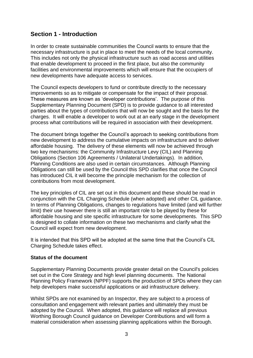### **Section 1 - Introduction**

In order to create sustainable communities the Council wants to ensure that the necessary infrastructure is put in place to meet the needs of the local community. This includes not only the physical infrastructure such as road access and utilities that enable development to proceed in the first place, but also the community facilities and environmental improvements which will ensure that the occupiers of new developments have adequate access to services.

The Council expects developers to fund or contribute directly to the necessary improvements so as to mitigate or compensate for the impact of their proposal. These measures are known as 'developer contributions'. The purpose of this Supplementary Planning Document (SPD) is to provide guidance to all interested parties about the types of contributions that will now be sought and the basis for the charges. It will enable a developer to work out at an early stage in the development process what contributions will be required in association with their development.

The document brings together the Council's approach to seeking contributions from new development to address the cumulative impacts on infrastructure and to deliver affordable housing. The delivery of these elements will now be achieved through two key mechanisms: the Community Infrastructure Levy (CIL) and Planning Obligations (Section 106 Agreements / Unilateral Undertakings). In addition, Planning Conditions are also used in certain circumstances. Although Planning Obligations can still be used by the Council this SPD clarifies that once the Council has introduced CIL it will become the principle mechanism for the collection of contributions from most development.

The key principles of CIL are set out in this document and these should be read in conjunction with the CIL Charging Schedule (when adopted) and other CIL guidance. In terms of Planning Obligations, changes to regulations have limited (and will further limit) their use however there is still an important role to be played by these for affordable housing and site specific infrastructure for some developments. This SPD is designed to collate information on these two mechanisms and clarify what the Council will expect from new development.

It is intended that this SPD will be adopted at the same time that the Council's CIL Charging Schedule takes effect.

### **Status of the document**

Supplementary Planning Documents provide greater detail on the Council's policies set out in the Core Strategy and high level planning documents. The National Planning Policy Framework (NPPF) supports the production of SPDs where they can help developers make successful applications or aid infrastructure delivery.

Whilst SPDs are not examined by an Inspector, they are subject to a process of consultation and engagement with relevant parties and ultimately they must be adopted by the Council. When adopted, this guidance will replace all previous Worthing Borough Council guidance on Developer Contributions and will form a material consideration when assessing planning applications within the Borough.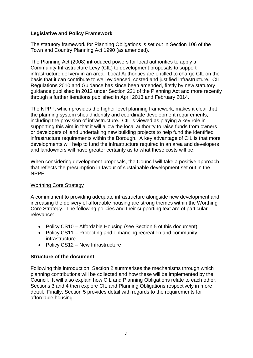### **Legislative and Policy Framework**

The statutory framework for Planning Obligations is set out in Section 106 of the Town and Country Planning Act 1990 (as amended).

The Planning Act (2008) introduced powers for local authorities to apply a Community Infrastructure Levy (CIL) to development proposals to support infrastructure delivery in an area. Local Authorities are entitled to charge CIL on the basis that it can contribute to well evidenced, costed and justified infrastructure. CIL Regulations 2010 and Guidance has since been amended, firstly by new statutory guidance published in 2012 under Section 221 of the Planning Act and more recently through a further iterations published in April 2013 and February 2014.

The NPPF**,** which provides the higher level planning framework, makes it clear that the planning system should identify and coordinate development requirements, including the provision of infrastructure. CIL is viewed as playing a key role in supporting this aim in that it will allow the local authority to raise funds from owners or developers of land undertaking new building projects to help fund the identified infrastructure requirements within the Borough. A key advantage of CIL is that more developments will help to fund the infrastructure required in an area and developers and landowners will have greater certainty as to what these costs will be.

When considering development proposals, the Council will take a positive approach that reflects the presumption in favour of sustainable development set out in the NPPF.

### Worthing Core Strategy

A commitment to providing adequate infrastructure alongside new development and increasing the delivery of affordable housing are strong themes within the Worthing Core Strategy. The following policies and their supporting text are of particular relevance:

- Policy CS10 Affordable Housing (see Section 5 of this document)
- Policy CS11 Protecting and enhancing recreation and community infrastructure
- Policy CS12 New Infrastructure

### **Structure of the document**

Following this introduction, Section 2 summarises the mechanisms through which planning contributions will be collected and how these will be implemented by the Council. It will also explain how CIL and Planning Obligations relate to each other. Sections 3 and 4 then explore CIL and Planning Obligations respectively in more detail. Finally, Section 5 provides detail with regards to the requirements for affordable housing.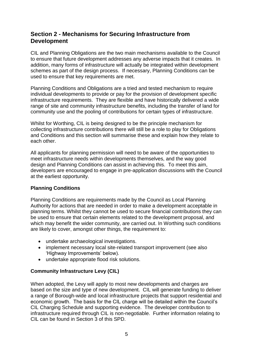### **Section 2 - Mechanisms for Securing Infrastructure from Development**

CIL and Planning Obligations are the two main mechanisms available to the Council to ensure that future development addresses any adverse impacts that it creates. In addition, many forms of infrastructure will actually be integrated within development schemes as part of the design process. If necessary, Planning Conditions can be used to ensure that key requirements are met.

Planning Conditions and Obligations are a tried and tested mechanism to require individual developments to provide or pay for the provision of development specific infrastructure requirements. They are flexible and have historically delivered a wide range of site and community infrastructure benefits, including the transfer of land for community use and the pooling of contributions for certain types of infrastructure.

Whilst for Worthing, CIL is being designed to be the principle mechanism for collecting infrastructure contributions there will still be a role to play for Obligations and Conditions and this section will summarise these and explain how they relate to each other.

All applicants for planning permission will need to be aware of the opportunities to meet infrastructure needs within developments themselves, and the way good design and Planning Conditions can assist in achieving this. To meet this aim, developers are encouraged to engage in pre-application discussions with the Council at the earliest opportunity.

### **Planning Conditions**

Planning Conditions are requirements made by the Council as Local Planning Authority for actions that are needed in order to make a development acceptable in planning terms. Whilst they cannot be used to secure financial contributions they can be used to ensure that certain elements related to the development proposal, and which may benefit the wider community, are carried out. In Worthing such conditions are likely to cover, amongst other things, the requirement to:

- undertake archaeological investigations.
- implement necessary local site-related transport improvement (see also 'Highway Improvements' below).
- undertake appropriate flood risk solutions.

### **Community Infrastructure Levy (CIL)**

When adopted, the Levy will apply to most new developments and charges are based on the size and type of new development. CIL will generate funding to deliver a range of Borough-wide and local infrastructure projects that support residential and economic growth. The basis for the CIL charge will be detailed within the Council's CIL Charging Schedule and supporting evidence. The developer contribution to infrastructure required through CIL is non-negotiable. Further information relating to CIL can be found in Section 3 of this SPD.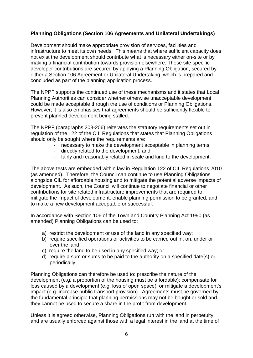### **Planning Obligations (Section 106 Agreements and Unilateral Undertakings)**

Development should make appropriate provision of services, facilities and infrastructure to meet its own needs. This means that where sufficient capacity does not exist the development should contribute what is necessary either on-site or by making a financial contribution towards provision elsewhere. These site specific developer contributions are secured by applying a Planning Obligation, secured by either a Section 106 Agreement or Unilateral Undertaking, which is prepared and concluded as part of the planning application process.

The NPPF supports the continued use of these mechanisms and it states that Local Planning Authorities can consider whether otherwise unacceptable development could be made acceptable through the use of conditions or Planning Obligations. However, it is also emphasises that agreements should be sufficiently flexible to prevent planned development being stalled.

The NPPF (paragraphs 203-206) reiterates the statutory requirements set out in regulation of the 122 of the CIL Regulations that states that Planning Obligations should only be sought where the requirements are:

- necessary to make the development acceptable in planning terms;
- directly related to the development; and
- fairly and reasonably related in scale and kind to the development.

The above tests are embedded within law in Regulation 122 of CIL Regulations 2010 (as amended). Therefore, the Council can continue to use Planning Obligations alongside CIL for affordable housing and to mitigate the potential adverse impacts of development. As such, the Council will continue to negotiate financial or other contributions for site related infrastructure improvements that are required to: mitigate the impact of development; enable planning permission to be granted; and to make a new development acceptable or successful.

In accordance with Section 106 of the Town and Country Planning Act 1990 (as amended) Planning Obligations can be used to:

- a) restrict the development or use of the land in any specified way;
- b) require specified operations or activities to be carried out in, on, under or over the land;
- c) require the land to be used in any specified way; or
- d) require a sum or sums to be paid to the authority on a specified date(s) or periodically.

Planning Obligations can therefore be used to: prescribe the nature of the development (e.g. a proportion of the housing must be affordable); compensate for loss caused by a development (e.g. loss of open space); or mitigate a development's impact (e.g. increase public transport provision). Agreements must be governed by the fundamental principle that planning permissions may not be bought or sold and they cannot be used to secure a share in the profit from development.

Unless it is agreed otherwise, Planning Obligations run with the land in perpetuity and are usually enforced against those with a legal interest in the land at the time of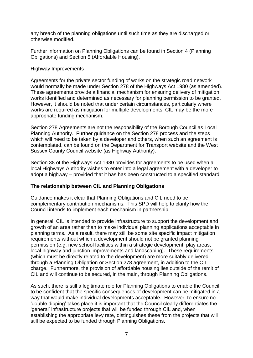any breach of the planning obligations until such time as they are discharged or otherwise modified.

Further information on Planning Obligations can be found in Section 4 (Planning Obligations) and Section 5 (Affordable Housing).

#### Highway Improvements

Agreements for the private sector funding of works on the strategic road network would normally be made under Section 278 of the Highways Act 1980 (as amended). These agreements provide a financial mechanism for ensuring delivery of mitigation works identified and determined as necessary for planning permission to be granted. However, it should be noted that under certain circumstances, particularly where works are required as mitigation for multiple developments, CIL may be the more appropriate funding mechanism.

Section 278 Agreements are not the responsibility of the Borough Council as Local Planning Authority. Further guidance on the Section 278 process and the steps which will need to be taken by a developer and others, when such an agreement is contemplated, can be found on the Department for Transport website and the West Sussex County Council website (as Highway Authority).

Section 38 of the Highways Act 1980 provides for agreements to be used when a local Highways Authority wishes to enter into a legal agreement with a developer to adopt a highway – provided that it has has been constructed to a specified standard.

### **The relationship between CIL and Planning Obligations**

Guidance makes it clear that Planning Obligations and CIL need to be complementary contribution mechanisms. This SPD will help to clarify how the Council intends to implement each mechanism in partnership.

In general, CIL is intended to provide infrastructure to support the development and growth of an area rather than to make individual planning applications acceptable in planning terms. As a result, there may still be some site specific impact mitigation requirements without which a development should not be granted planning permission (e.g. new school facilities within a strategic development, play areas, local highway and junction improvements and landscaping). These requirements (which must be directly related to the development) are more suitably delivered through a Planning Obligation or Section 278 agreement, in addition to the CIL charge. Furthermore, the provision of affordable housing lies outside of the remit of CIL and will continue to be secured, in the main, through Planning Obligations.

As such, there is still a legitimate role for Planning Obligations to enable the Council to be confident that the specific consequences of development can be mitigated in a way that would make individual developments acceptable. However, to ensure no 'double dipping' takes place it is important that the Council clearly differentiates the 'general' infrastructure projects that will be funded through CIL and, when establishing the appropriate levy rate, distinguishes these from the projects that will still be expected to be funded through Planning Obligations.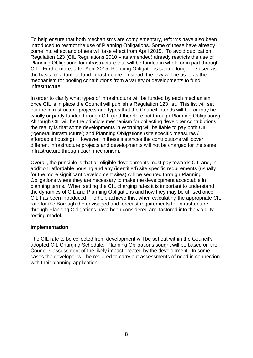To help ensure that both mechanisms are complementary, reforms have also been introduced to restrict the use of Planning Obligations. Some of these have already come into effect and others will take effect from April 2015. To avoid duplication Regulation 123 (CIL Regulations 2010 – as amended) already restricts the use of Planning Obligations for infrastructure that will be funded in whole or in part through CIL. Furthermore, after April 2015, Planning Obligations can no longer be used as the basis for a tariff to fund infrastructure. Instead, the levy will be used as the mechanism for pooling contributions from a variety of developments to fund infrastructure.

In order to clarify what types of infrastructure will be funded by each mechanism once CIL is in place the Council will publish a Regulation 123 list. This list will set out the infrastructure projects and types that the Council intends will be, or may be, wholly or partly funded through CIL (and therefore not through Planning Obligations). Although CIL will be the principle mechanism for collecting developer contributions, the reality is that some developments in Worthing will be liable to pay both CIL ('general infrastructure') and Planning Obligations (site specific measures / affordable housing). However, in these instances the contributions will cover different infrastructure projects and developments will not be charged for the same infrastructure through each mechanism.

Overall, the principle is that all eligible developments must pay towards CIL and, in addition, affordable housing and any (identified) site specific requirements (usually for the more significant development sites) will be secured through Planning Obligations where they are necessary to make the development acceptable in planning terms. When setting the CIL charging rates it is important to understand the dynamics of CIL and Planning Obligations and how they may be utilised once CIL has been introduced. To help achieve this, when calculating the appropriate CIL rate for the Borough the envisaged and forecast requirements for infrastructure through Planning Obligations have been considered and factored into the viability testing model.

#### **Implementation**

The CIL rate to be collected from development will be set out within the Council's adopted CIL Charging Schedule. Planning Obligations sought will be based on the Council's assessment of the likely impact created by the development. In some cases the developer will be required to carry out assessments of need in connection with their planning application.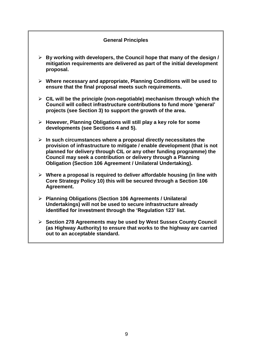### **General Principles**

- **By working with developers, the Council hope that many of the design / mitigation requirements are delivered as part of the initial development proposal.**
- **Where necessary and appropriate, Planning Conditions will be used to ensure that the final proposal meets such requirements.**
- **CIL will be the principle (non-negotiable) mechanism through which the Council will collect infrastructure contributions to fund more 'general' projects (see Section 3) to support the growth of the area.**
- **However, Planning Obligations will still play a key role for some developments (see Sections 4 and 5).**
- **In such circumstances where a proposal directly necessitates the provision of infrastructure to mitigate / enable development (that is not planned for delivery through CIL or any other funding programme) the Council may seek a contribution or delivery through a Planning Obligation (Section 106 Agreement / Unilateral Undertaking).**
- **Where a proposal is required to deliver affordable housing (in line with Core Strategy Policy 10) this will be secured through a Section 106 Agreement.**
- **Planning Obligations (Section 106 Agreements / Unilateral Undertakings) will not be used to secure infrastructure already identified for investment through the 'Regulation 123' list.**
- **Section 278 Agreements may be used by West Sussex County Council (as Highway Authority) to ensure that works to the highway are carried out to an acceptable standard.**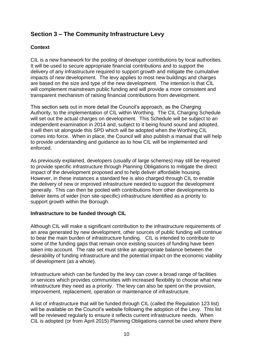### **Section 3 – The Community Infrastructure Levy**

### **Context**

CIL is a new framework for the pooling of developer contributions by local authorities. It will be used to secure appropriate financial contributions and to support the delivery of any infrastructure required to support growth and mitigate the cumulative impacts of new development. The levy applies to most new buildings and charges are based on the size and type of the new development. The intention is that CIL will complement mainstream public funding and will provide a more consistent and transparent mechanism of raising financial contributions from development.

This section sets out in more detail the Council's approach, as the Charging Authority, to the implementation of CIL within Worthing. The CIL Charging Schedule will set out the actual charges on development. This Schedule will be subject to an independent examination in 2014 and, subject to it being found sound and adopted, it will then sit alongside this SPD which will be adopted when the Worthing CIL comes into force. When in place, the Council will also publish a manual that will help to provide understanding and guidance as to how CIL will be implemented and enforced.

As previously explained, developers (usually of large schemes) may still be required to provide specific infrastructure through Planning Obligations to mitigate the direct impact of the development proposed and to help deliver affordable housing. However, in these instances a standard fee is also charged through CIL to enable the delivery of new or improved infrastructure needed to support the development generally. This can then be pooled with contributions from other developments to deliver items of wider (non site-specific) infrastructure identified as a priority to support growth within the Borough.

### **Infrastructure to be funded through CIL**

Although CIL will make a significant contribution to the infrastructure requirements of an area generated by new development, other sources of public funding will continue to bear the main burden of infrastructure funding. CIL is intended to contribute to some of the funding gaps that remain once existing sources of funding have been taken into account. The rate set must strike an appropriate balance between the desirability of funding infrastructure and the potential impact on the economic viability of development (as a whole).

Infrastructure which can be funded by the levy can cover a broad range of facilities or services which provides communities with increased flexibility to choose what new infrastructure they need as a priority. The levy can also be spent on the provision, improvement, replacement, operation or maintenance of infrastructure.

A list of infrastructure that will be funded through CIL (called the Regulation 123 list) will be available on the Council's website following the adoption of the Levy. This list will be reviewed regularly to ensure it reflects current infrastructure needs. When CIL is adopted (or from April 2015) Planning Obligations cannot be used where there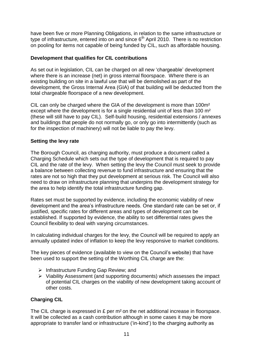have been five or more Planning Obligations, in relation to the same infrastructure or type of infrastructure, entered into on and since  $6<sup>th</sup>$  April 2010. There is no restriction on pooling for items not capable of being funded by CIL, such as affordable housing.

### **Development that qualifies for CIL contributions**

As set out in legislation, CIL can be charged on all new 'chargeable' development where there is an increase (net) in gross internal floorspace. Where there is an existing building on site in a lawful use that will be demolished as part of the development, the Gross Internal Area (GIA) of that building will be deducted from the total chargeable floorspace of a new development.

CIL can only be charged where the GIA of the development is more than 100m<sup>2</sup> except where the development is for a single residential unit of less than 100 m<sup>2</sup> (these will still have to pay CIL). Self-build housing, residential extensions / annexes and buildings that people do not normally go, or only go into intermittently (such as for the inspection of machinery) will not be liable to pay the levy.

### **Setting the levy rate**

The Borough Council, as charging authority, must produce a document called a Charging Schedule which sets out the type of development that is required to pay CIL and the rate of the levy. When setting the levy the Council must seek to provide a balance between collecting revenue to fund infrastructure and ensuring that the rates are not so high that they put development at serious risk. The Council will also need to draw on infrastructure planning that underpins the development strategy for the area to help identify the total infrastructure funding gap.

Rates set must be supported by evidence, including the economic viability of new development and the area's infrastructure needs. One standard rate can be set or, if justified, specific rates for different areas and types of development can be established. If supported by evidence, the ability to set differential rates gives the Council flexibility to deal with varying circumstances.

In calculating individual charges for the levy, the Council will be required to apply an annually updated index of inflation to keep the levy responsive to market conditions.

The key pieces of evidence (available to view on the Council's website) that have been used to support the setting of the Worthing CIL charge are the:

- $\triangleright$  Infrastructure Funding Gap Review; and
- $\triangleright$  Viability Assessment (and supporting documents) which assesses the impact of potential CIL charges on the viability of new development taking account of other costs.

### **Charging CIL**

The CIL charge is expressed in  $E$  per m<sup>2</sup> on the net additional increase in floorspace. It will be collected as a cash contribution although in some cases it may be more appropriate to transfer land or infrastructure ('in-kind') to the charging authority as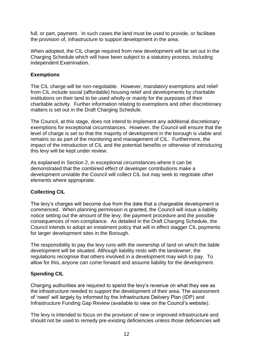full, or part, payment. In such cases the land must be used to provide, or facilitate the provision of, infrastructure to support development in the area.

When adopted, the CIL charge required from new development will be set out in the Charging Schedule which will have been subject to a statutory process, including independent Examination.

### **Exemptions**

The CIL charge will be non-negotiable. However, mandatory exemptions and relief from CIL include social (affordable) housing relief and developments by charitable institutions on their land to be used wholly or mainly for the purposes of their charitable activity. Further information relating to exemptions and other discretionary matters is set out in the Draft Charging Schedule.

The Council, at this stage, does not intend to implement any additional discretionary exemptions for exceptional circumstances. However, the Council will ensure that the level of charge is set so that the majority of development in the borough is viable and remains so as part of the monitoring and management of CIL. Furthermore, the impact of the introduction of CIL and the potential benefits or otherwise of introducing this levy will be kept under review.

As explained in Section 2, in exceptional circumstances where it can be demonstrated that the combined effect of developer contributions make a development unviable the Council will collect CIL but may seek to negotiate other elements where appropriate.

### **Collecting CIL**

The levy's charges will become due from the date that a chargeable development is commenced. When planning permission is granted, the Council will issue a liability notice setting out the amount of the levy, the payment procedure and the possible consequences of non-compliance. As detailed in the Draft Charging Schedule, the Council intends to adopt an instalment policy that will in effect stagger CIL payments for larger development sites in the Borough.

The responsibility to pay the levy runs with the ownership of land on which the liable development will be situated. Although liability rests with the landowner, the regulations recognise that others involved in a development may wish to pay. To allow for this, anyone can come forward and assume liability for the development.

### **Spending CIL**

Charging authorities are required to spend the levy's revenue on what they see as the infrastructure needed to support the development of their area. The assessment of 'need' will largely by informed by the Infrastructure Delivery Plan (IDP) and Infrastructure Funding Gap Review (available to view on the Council's website).

The levy is intended to focus on the provision of new or improved infrastructure and should not be used to remedy pre-existing deficiencies unless those deficiencies will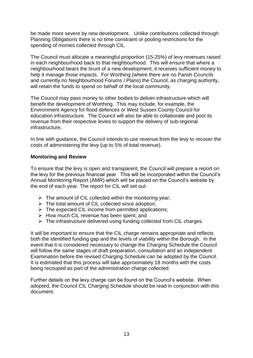be made more severe by new development. Unlike contributions collected through Planning Obligations there is no time constraint or pooling restrictions for the spending of monies collected through CIL.

The Council must allocate a meaningful proportion (15-25%) of levy revenues raised in each neighbourhood back to that neighbourhood. This will ensure that where a neighbourhood bears the brunt of a new development, it receives sufficient money to help it manage those impacts. For Worthing (where there are no Parish Councils and currently no Neighbourhood Forums / Plans) the Council, as charging authority, will retain the funds to spend on behalf of the local community.

The Council may pass money to other bodies to deliver infrastructure which will benefit the development of Worthing. This may include, for example, the Environment Agency for flood defences or West Sussex County Council for education infrastructure. The Council will also be able to collaborate and pool its revenue from their respective levies to support the delivery of sub-regional infrastructure.

In line with guidance, the Council intends to use revenue from the levy to recover the costs of administering the levy (up to 5% of total revenue).

### **Monitoring and Review**

To ensure that the levy is open and transparent, the Council will prepare a report on the levy for the previous financial year. This will be incorporated within the Council's Annual Monitoring Report (AMR) which will be placed on the Council's website by the end of each year. The report for CIL will set out:

- $\triangleright$  The amount of CIL collected within the monitoring year:
- $\triangleright$  The total amount of CIL collected since adoption;
- $\triangleright$  The expected CIL income from permitted applications;
- $\triangleright$  How much CIL revenue has been spent; and
- $\triangleright$  The infrastructure delivered using funding collected from CIL charges.

It will be important to ensure that the CIL charge remains appropriate and reflects both the identified funding gap and the levels of viability within the Borough. In the event that it is considered necessary to change the Charging Schedule the Council will follow the same stages of draft preparation, consultation and an independent Examination before the revised Charging Schedule can be adopted by the Council. It is estimated that this process will take approximately 18 months with the costs being recouped as part of the administration charge collected.

Further details on the levy charge can be found on the Council's website. When adopted, the Council CIL Charging Schedule should be read in conjunction with this document.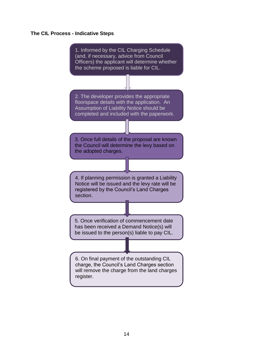### **The CIL Process - Indicative Steps**

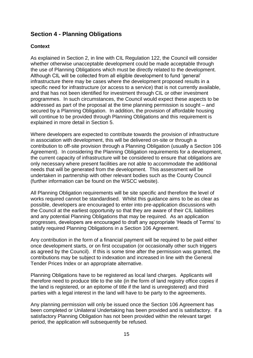### **Section 4 - Planning Obligations**

### **Context**

As explained in Section 2, in line with CIL Regulation 122, the Council will consider whether otherwise unacceptable development could be made acceptable through the use of Planning Obligations which must be directly related to the development. Although CIL will be collected from all eligible development to fund 'general' infrastructure there may be cases where the development proposed results in a specific need for infrastructure (or access to a service) that is not currently available, and that has not been identified for investment through CIL or other investment programmes. In such circumstances, the Council would expect these aspects to be addressed as part of the proposal at the time planning permission is sought – and secured by a Planning Obligation. In addition, the provision of affordable housing will continue to be provided through Planning Obligations and this requirement is explained in more detail in Section 5.

Where developers are expected to contribute towards the provision of infrastructure in association with development, this will be delivered on-site or through a contribution to off-site provision through a Planning Obligation (usually a Section 106 Agreement). In considering the Planning Obligation requirements for a development, the current capacity of infrastructure will be considered to ensure that obligations are only necessary where present facilities are not able to accommodate the additional needs that will be generated from the development. This assessment will be undertaken in partnership with other relevant bodies such as the County Council (further information can be found on the WSCC website).

All Planning Obligation requirements will be site specific and therefore the level of works required cannot be standardised. Whilst this quidance aims to be as clear as possible, developers are encouraged to enter into pre-application discussions with the Council at the earliest opportunity so that they are aware of their CIL liabilities and any potential Planning Obligations that may be required. As an application progresses, developers are encouraged to draft any appropriate 'Heads of Terms' to satisfy required Planning Obligations in a Section 106 Agreement.

Any contribution in the form of a financial payment will be required to be paid either once development starts, or on first occupation (or occasionally other such triggers as agreed by the Council). If this is some time after the permission was granted, the contributions may be subject to indexation and increased in line with the General Tender Prices Index or an appropriate alternative.

Planning Obligations have to be registered as local land charges. Applicants will therefore need to produce title to the site (in the form of land registry office copies if the land is registered, or an epitome of title if the land is unregistered) and third parties with a legal interest in the land will have to be party to the agreements.

Any planning permission will only be issued once the Section 106 Agreement has been completed or Unilateral Undertaking has been provided and is satisfactory. If a satisfactory Planning Obligation has not been provided within the relevant target period, the application will subsequently be refused.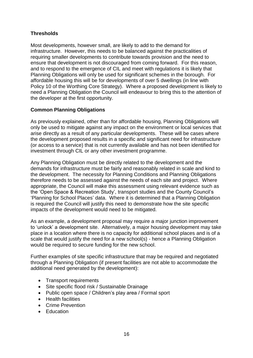### **Thresholds**

Most developments, however small, are likely to add to the demand for infrastructure. However, this needs to be balanced against the practicalities of requiring smaller developments to contribute towards provision and the need to ensure that development is not discouraged from coming forward. For this reason, and to respond to the emergence of CIL and meet with regulations it is likely that Planning Obligations will only be used for significant schemes in the borough. For affordable housing this will be for developments of over 5 dwellings (in line with Policy 10 of the Worthing Core Strategy). Where a proposed development is likely to need a Planning Obligation the Council will endeavour to bring this to the attention of the developer at the first opportunity.

### **Common Planning Obligations**

As previously explained, other than for affordable housing, Planning Obligations will only be used to mitigate against any impact on the environment or local services that arise directly as a result of any particular developments. These will be cases where the development proposed results in a specific and significant need for infrastructure (or access to a service) that is not currently available and has not been identified for investment through CIL or any other investment programme.

Any Planning Obligation must be directly related to the development and the demands for infrastructure must be fairly and reasonably related in scale and kind to the development. The necessity for Planning Conditions and Planning Obligations therefore needs to be assessed against the needs of each site and project. Where appropriate, the Council will make this assessment using relevant evidence such as the 'Open Space & Recreation Study', transport studies and the County Council's 'Planning for School Places' data. Where it is determined that a Planning Obligation is required the Council will justify this need to demonstrate how the site specific impacts of the development would need to be mitigated.

As an example, a development proposal may require a major junction improvement to 'unlock' a development site. Alternatively, a major housing development may take place in a location where there is no capacity for additional school places and is of a scale that would justify the need for a new school(s) - hence a Planning Obligation would be required to secure funding for the new school.

Further examples of site specific infrastructure that may be required and negotiated through a Planning Obligation (if present facilities are not able to accommodate the additional need generated by the development):

- Transport requirements
- Site specific flood risk / Sustainable Drainage
- Public open space / Children's play area / Formal sport
- Health facilities
- Crime Prevention
- Education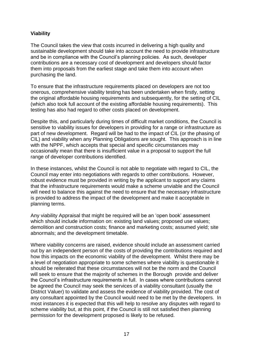### **Viability**

The Council takes the view that costs incurred in delivering a high quality and sustainable development should take into account the need to provide infrastructure and be in compliance with the Council's planning policies. As such, developer contributions are a necessary cost of development and developers should factor them into proposals from the earliest stage and take them into account when purchasing the land.

To ensure that the infrastructure requirements placed on developers are not too onerous, comprehensive viability testing has been undertaken when firstly, setting the original affordable housing requirements and subsequently, for the setting of CIL (which also took full account of the existing affordable housing requirements). This testing has also had regard to other costs placed on development.

Despite this, and particularly during times of difficult market conditions, the Council is sensitive to viability issues for developers in providing for a range or infrastructure as part of new development. Regard will be had to the impact of CIL (or the phasing of CIL) and viability when any Planning Obligations are sought. This approach is in line with the NPPF, which accepts that special and specific circumstances may occasionally mean that there is insufficient value in a proposal to support the full range of developer contributions identified.

In these instances, whilst the Council is not able to negotiate with regard to CIL, the Council may enter into negotiations with regards to other contributions. However, robust evidence must be provided in writing by the applicant to support any claims that the infrastructure requirements would make a scheme unviable and the Council will need to balance this against the need to ensure that the necessary infrastructure is provided to address the impact of the development and make it acceptable in planning terms.

Any viability Appraisal that might be required will be an 'open book' assessment which should include information on: existing land values; proposed use values; demolition and construction costs; finance and marketing costs; assumed yield; site abnormals; and the development timetable.

Where viability concerns are raised, evidence should include an assessment carried out by an independent person of the costs of providing the contributions required and how this impacts on the economic viability of the development. Whilst there may be a level of negotiation appropriate to some schemes where viability is questionable it should be reiterated that these circumstances will not be the norm and the Council will seek to ensure that the majority of schemes in the Borough provide and deliver the Council's infrastructure requirements in full. In cases where contributions cannot be agreed the Council may seek the services of a viability consultant (usually the District Valuer) to validate and assess the evidence of viability provided. The cost of any consultant appointed by the Council would need to be met by the developers. In most instances it is expected that this will help to resolve any disputes with regard to scheme viability but, at this point, if the Council is still not satisfied then planning permission for the development proposed is likely to be refused.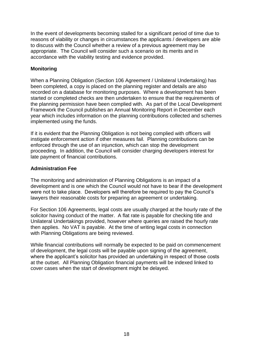In the event of developments becoming stalled for a significant period of time due to reasons of viability or changes in circumstances the applicants / developers are able to discuss with the Council whether a review of a previous agreement may be appropriate. The Council will consider such a scenario on its merits and in accordance with the viability testing and evidence provided.

### **Monitoring**

When a Planning Obligation (Section 106 Agreement / Unilateral Undertaking) has been completed, a copy is placed on the planning register and details are also recorded on a database for monitoring purposes. Where a development has been started or completed checks are then undertaken to ensure that the requirements of the planning permission have been complied with. As part of the Local Development Framework the Council publishes an Annual Monitoring Report in December each year which includes information on the planning contributions collected and schemes implemented using the funds.

If it is evident that the Planning Obligation is not being complied with officers will instigate enforcement action if other measures fail. Planning contributions can be enforced through the use of an injunction, which can stop the development proceeding. In addition, the Council will consider charging developers interest for late payment of financial contributions.

### **Administration Fee**

The monitoring and administration of Planning Obligations is an impact of a development and is one which the Council would not have to bear if the development were not to take place. Developers will therefore be required to pay the Council's lawyers their reasonable costs for preparing an agreement or undertaking.

For Section 106 Agreements, legal costs are usually charged at the hourly rate of the solicitor having conduct of the matter. A flat rate is payable for checking title and Unilateral Undertakings provided, however where queries are raised the hourly rate then applies. No VAT is payable. At the time of writing legal costs in connection with Planning Obligations are being reviewed.

While financial contributions will normally be expected to be paid on commencement of development, the legal costs will be payable upon signing of the agreement, where the applicant's solicitor has provided an undertaking in respect of those costs at the outset. All Planning Obligation financial payments will be indexed linked to cover cases when the start of development might be delayed.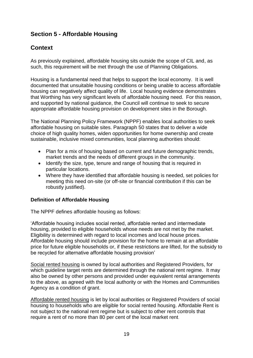### **Section 5 - Affordable Housing**

### **Context**

As previously explained, affordable housing sits outside the scope of CIL and, as such, this requirement will be met through the use of Planning Obligations.

Housing is a fundamental need that helps to support the local economy. It is well documented that unsuitable housing conditions or being unable to access affordable housing can negatively affect quality of life. Local housing evidence demonstrates that Worthing has very significant levels of affordable housing need. For this reason, and supported by national guidance, the Council will continue to seek to secure appropriate affordable housing provision on development sites in the Borough.

The National Planning Policy Framework (NPPF) enables local authorities to seek affordable housing on suitable sites. Paragraph 50 states that to deliver a wide choice of high quality homes, widen opportunities for home ownership and create sustainable, inclusive mixed communities, local planning authorities should:

- Plan for a mix of housing based on current and future demographic trends, market trends and the needs of different groups in the community.
- Identify the size, type, tenure and range of housing that is required in particular locations.
- Where they have identified that affordable housing is needed, set policies for meeting this need on-site (or off-site or financial contribution if this can be robustly justified).

### **Definition of Affordable Housing**

The NPPF defines affordable housing as follows:

'Affordable housing includes social rented, affordable rented and intermediate housing, provided to eligible households whose needs are not met by the market. Eligibility is determined with regard to local incomes and local house prices. Affordable housing should include provision for the home to remain at an affordable price for future eligible households or, if these restrictions are lifted, for the subsidy to be recycled for alternative affordable housing provision'

Social rented housing is owned by local authorities and Registered Providers, for which guideline target rents are determined through the national rent regime. It may also be owned by other persons and provided under equivalent rental arrangements to the above, as agreed with the local authority or with the Homes and Communities Agency as a condition of grant.

Affordable rented housing is let by local authorities or Registered Providers of social housing to households who are eligible for social rented housing. Affordable Rent is not subject to the national rent regime but is subject to other rent controls that require a rent of no more than 80 per cent of the local market rent.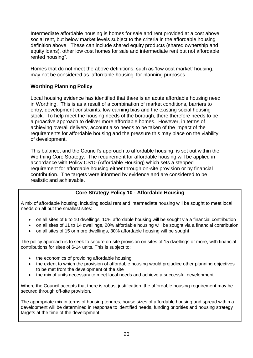Intermediate affordable housing is homes for sale and rent provided at a cost above social rent, but below market levels subject to the criteria in the affordable housing definition above. These can include shared equity products (shared ownership and equity loans), other low cost homes for sale and intermediate rent but not affordable rented housing".

Homes that do not meet the above definitions, such as 'low cost market' housing, may not be considered as 'affordable housing' for planning purposes.

### **Worthing Planning Policy**

Local housing evidence has identified that there is an acute affordable housing need in Worthing. This is as a result of a combination of market conditions, barriers to entry, development constraints, low earning bias and the existing social housing stock. To help meet the housing needs of the borough, there therefore needs to be a proactive approach to deliver more affordable homes. However, in terms of achieving overall delivery, account also needs to be taken of the impact of the requirements for affordable housing and the pressure this may place on the viability of development.

This balance, and the Council's approach to affordable housing, is set out within the Worthing Core Strategy. The requirement for affordable housing will be applied in accordance with Policy CS10 (Affordable Housing) which sets a stepped requirement for affordable housing either through on-site provision or by financial contribution. The targets were informed by evidence and are considered to be realistic and achievable.

### **Core Strategy Policy 10 - Affordable Housing**

A mix of affordable housing, including social rent and intermediate housing will be sought to meet local needs on all but the smallest sites:

- on all sites of 6 to 10 dwellings, 10% affordable housing will be sought via a financial contribution
- on all sites of 11 to 14 dwellings, 20% affordable housing will be sought via a financial contribution
- on all sites of 15 or more dwellings, 30% affordable housing will be sought

The policy approach is to seek to secure on-site provision on sites of 15 dwellings or more, with financial contributions for sites of 6-14 units. This is subject to:

- the economics of providing affordable housing
- the extent to which the provision of affordable housing would prejudice other planning objectives to be met from the development of the site
- the mix of units necessary to meet local needs and achieve a successful development.

Where the Council accepts that there is robust justification, the affordable housing requirement may be secured through off-site provision.

The appropriate mix in terms of housing tenures, house sizes of affordable housing and spread within a development will be determined in response to identified needs, funding priorities and housing strategy targets at the time of the development.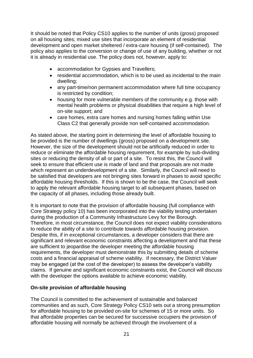It should be noted that Policy CS10 applies to the number of units (gross) proposed on all housing sites; mixed use sites that incorporate an element of residential development and open market sheltered / extra-care housing (if self-contained). The policy also applies to the conversion or change of use of any building, whether or not it is already in residential use. The policy does not, however, apply to:

- accommodation for Gypsies and Travellers:
- residential accommodation, which is to be used as incidental to the main dwelling;
- any part-time/non permanent accommodation where full time occupancy is restricted by condition;
- housing for more vulnerable members of the community e.g. those with mental health problems or physical disabilities that require a high level of on-site support; and
- care homes, extra care homes and nursing homes falling within Use Class C2 that generally provide non self-contained accommodation.

As stated above, the starting point in determining the level of affordable housing to be provided is the number of dwellings (gross) proposed on a development site. However, the size of the development should not be artificially reduced in order to reduce or eliminate the affordable housing requirement, for example by sub-dividing sites or reducing the density of all or part of a site. To resist this, the Council will seek to ensure that efficient use is made of land and that proposals are not made which represent an underdevelopment of a site. Similarly, the Council will need to be satisfied that developers are not bringing sites forward in phases to avoid specific affordable housing thresholds. If this is shown to be the case, the Council will seek to apply the relevant affordable housing target to all subsequent phases, based on the capacity of all phases, including those already built.

It is important to note that the provision of affordable housing (full compliance with Core Strategy policy 10) has been incorporated into the viability testing undertaken during the production of a Community Infrastructure Levy for the Borough. Therefore, in most circumstance, the Council does not expect viability considerations to reduce the ability of a site to contribute towards affordable housing provision. Despite this, if in exceptional circumstances, a developer considers that there are significant and relevant economic constraints affecting a development and that these are sufficient to jeopardise the developer meeting the affordable housing requirements, the developer must demonstrate this by submitting details of scheme costs and a financial appraisal of scheme viability. If necessary, the District Valuer may be engaged (at the cost of the developer) to assess the developer's viability claims. If genuine and significant economic constraints exist, the Council will discuss with the developer the options available to achieve economic viability.

### **On-site provision of affordable housing**

The Council is committed to the achievement of sustainable and balanced communities and as such, Core Strategy Policy CS10 sets out a strong presumption for affordable housing to be provided on-site for schemes of 15 or more units. So that affordable properties can be secured for successive occupiers the provision of affordable housing will normally be achieved through the involvement of a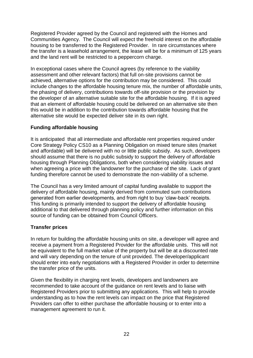Registered Provider agreed by the Council and registered with the Homes and Communities Agency. The Council will expect the freehold interest on the affordable housing to be transferred to the Registered Provider. In rare circumstances where the transfer is a leasehold arrangement, the lease will be for a minimum of 125 years and the land rent will be restricted to a peppercorn charge.

In exceptional cases where the Council agrees (by reference to the viability assessment and other relevant factors) that full on-site provisions cannot be achieved, alternative options for the contribution may be considered. This could include changes to the affordable housing tenure mix, the number of affordable units, the phasing of delivery, contributions towards off-site provision or the provision by the developer of an alternative suitable site for the affordable housing. If it is agreed that an element of affordable housing could be delivered on an alternative site then this would be in addition to the contribution towards affordable housing that the alternative site would be expected deliver site in its own right.

### **Funding affordable housing**

It is anticipated that all intermediate and affordable rent properties required under Core Strategy Policy CS10 as a Planning Obligation on mixed tenure sites (market and affordable) will be delivered with no or little public subsidy. As such, developers should assume that there is no public subsidy to support the delivery of affordable housing through Planning Obligations, both when considering viability issues and when agreeing a price with the landowner for the purchase of the site. Lack of grant funding therefore cannot be used to demonstrate the non-viability of a scheme.

The Council has a very limited amount of capital funding available to support the delivery of affordable housing, mainly derived from commuted sum contributions generated from earlier developments, and from right to buy 'claw-back' receipts. This funding is primarily intended to support the delivery of affordable housing additional to that delivered through planning policy and further information on this source of funding can be obtained from Council Officers.

### **Transfer prices**

In return for building the affordable housing units on site, a developer will agree and receive a payment from a Registered Provider for the affordable units. This will not be equivalent to the full market value of the property but will be at a discounted rate and will vary depending on the tenure of unit provided. The developer/applicant should enter into early negotiations with a Registered Provider in order to determine the transfer price of the units.

Given the flexibility in charging rent levels, developers and landowners are recommended to take account of the guidance on rent levels and to liaise with Registered Providers prior to submitting any applications. This will help to provide understanding as to how the rent levels can impact on the price that Registered Providers can offer to either purchase the affordable housing or to enter into a management agreement to run it.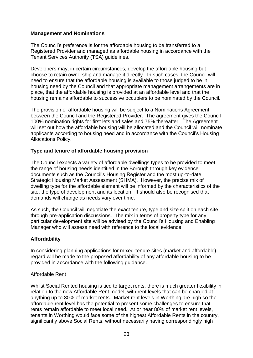### **Management and Nominations**

The Council's preference is for the affordable housing to be transferred to a Registered Provider and managed as affordable housing in accordance with the Tenant Services Authority (TSA) guidelines.

Developers may, in certain circumstances, develop the affordable housing but choose to retain ownership and manage it directly. In such cases, the Council will need to ensure that the affordable housing is available to those judged to be in housing need by the Council and that appropriate management arrangements are in place, that the affordable housing is provided at an affordable level and that the housing remains affordable to successive occupiers to be nominated by the Council.

The provision of affordable housing will be subject to a Nominations Agreement between the Council and the Registered Provider. The agreement gives the Council 100% nomination rights for first lets and sales and 75% thereafter. The Agreement will set out how the affordable housing will be allocated and the Council will nominate applicants according to housing need and in accordance with the Council's Housing Allocations Policy.

### **Type and tenure of affordable housing provision**

The Council expects a variety of affordable dwellings types to be provided to meet the range of housing needs identified in the Borough through key evidence documents such as the Council's Housing Register and the most up-to-date Strategic Housing Market Assessment (SHMA). However, the precise mix of dwelling type for the affordable element will be informed by the characteristics of the site, the type of development and its location. It should also be recognised that demands will change as needs vary over time.

As such, the Council will negotiate the exact tenure, type and size split on each site through pre-application discussions. The mix in terms of property type for any particular development site will be advised by the Council's Housing and Enabling Manager who will assess need with reference to the local evidence.

### **Affordability**

In considering planning applications for mixed-tenure sites (market and affordable), regard will be made to the proposed affordability of any affordable housing to be provided in accordance with the following guidance.

### Affordable Rent

Whilst Social Rented housing is tied to target rents, there is much greater flexibility in relation to the new Affordable Rent model, with rent levels that can be charged at anything up to 80% of market rents. Market rent levels in Worthing are high so the affordable rent level has the potential to present some challenges to ensure that rents remain affordable to meet local need. At or near 80% of market rent levels, tenants in Worthing would face some of the highest Affordable Rents in the country, significantly above Social Rents, without necessarily having correspondingly high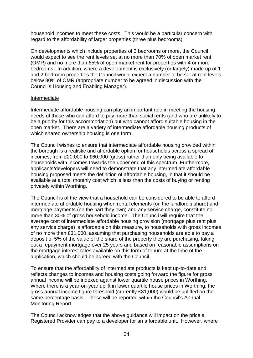household incomes to meet these costs. This would be a particular concern with regard to the affordability of larger properties (three plus bedrooms).

On developments which include properties of 3 bedrooms or more, the Council would expect to see the rent levels set at no more than 70% of open market rent (OMR) and no more than 65% of open market rent for properties with 4 or more bedrooms. In addition, where a development is exclusively (or largely) made up of 1 and 2 bedroom properties the Council would expect a number to be set at rent levels below 80% of OMR (appropriate number to be agreed in discussion with the Council's Housing and Enabling Manager).

#### Intermediate

Intermediate affordable housing can play an important role in meeting the housing needs of those who can afford to pay more than social rents (and who are unlikely to be a priority for this accommodation) but who cannot afford suitable housing in the open market. There are a variety of intermediate affordable housing products of which shared ownership housing is one form.

The Council wishes to ensure that intermediate affordable housing provided within the borough is a realistic and affordable option for households across a spread of incomes, from £20,000 to £60,000 (gross) rather than only being available to households with incomes towards the upper end of this spectrum. Furthermore, applicants/developers will need to demonstrate that any intermediate affordable housing proposed meets the definition of affordable housing, in that it should be available at a total monthly cost which is less than the costs of buying or renting privately within Worthing.

The Council is of the view that a household can be considered to be able to afford intermediate affordable housing when rental elements (on the landlord's share) and mortgage payments (on the part they own) and any service charge, constitute no more than 30% of gross household income. The Council will require that the average cost of intermediate affordable housing provision (mortgage plus rent plus any service charge) is affordable on this measure, to households with gross incomes of no more than £31,000, assuming that purchasing households are able to pay a deposit of 5% of the value of the share of the property they are purchasing, taking out a repayment mortgage over 25 years and based on reasonable assumptions on the mortgage interest rates available on this form of tenure at the time of the application, which should be agreed with the Council.

To ensure that the affordability of intermediate products is kept up-to-date and reflects changes to incomes and housing costs going forward the figure for gross annual income will be indexed against lower quartile house prices in Worthing. Where there is a year-on-year uplift in lower quartile house prices in Worthing, the gross annual income figure threshold (currently £31,000) would be uplifted on the same percentage basis. These will be reported within the Council's Annual Monitoring Report.

The Council acknowledges that the above guidance will impact on the price a Registered Provider can pay to a developer for an affordable unit. However, where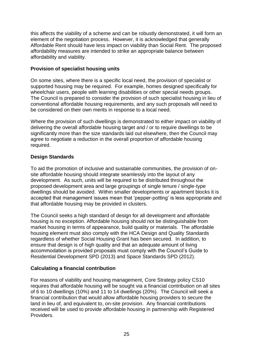this affects the viability of a scheme and can be robustly demonstrated, it will form an element of the negotiation process. However, it is acknowledged that generally Affordable Rent should have less impact on viability than Social Rent. The proposed affordability measures are intended to strike an appropriate balance between affordability and viability.

### **Provision of specialist housing units**

On some sites, where there is a specific local need, the provision of specialist or supported housing may be required. For example, homes designed specifically for wheelchair users, people with learning disabilities or other special needs groups. The Council is prepared to consider the provision of such specialist housing in lieu of conventional affordable housing requirements, and any such proposals will need to be considered on their own merits in response to a local need.

Where the provision of such dwellings is demonstrated to either impact on viability of delivering the overall affordable housing target and / or to require dwellings to be significantly more than the size standards laid out elsewhere, then the Council may agree to negotiate a reduction in the overall proportion of affordable housing required.

### **Design Standards**

To aid the promotion of inclusive and sustainable communities, the provision of onsite affordable housing should integrate seamlessly into the layout of any development. As such, units will be required to be distributed throughout the proposed development area and large groupings of single tenure / single-type dwellings should be avoided. Within smaller developments or apartment blocks it is accepted that management issues mean that 'pepper-potting' is less appropriate and that affordable housing may be provided in clusters.

The Council seeks a high standard of design for all development and affordable housing is no exception. Affordable housing should not be distinguishable from market housing in terms of appearance, build quality or materials. The affordable housing element must also comply with the HCA Design and Quality Standards regardless of whether Social Housing Grant has been secured. In addition, to ensure that design is of high quality and that an adequate amount of living accommodation is provided proposals must comply with the Council's Guide to Residential Development SPD (2013) and Space Standards SPD (2012).

### **Calculating a financial contribution**

For reasons of viability and housing management, Core Strategy policy CS10 requires that affordable housing will be sought via a financial contribution on all sites of 6 to 10 dwellings (10%) and 11 to 14 dwellings (20%). The Council will seek a financial contribution that would allow affordable housing providers to secure the land in lieu of, and equivalent to, on-site provision. Any financial contributions received will be used to provide affordable housing in partnership with Registered Providers.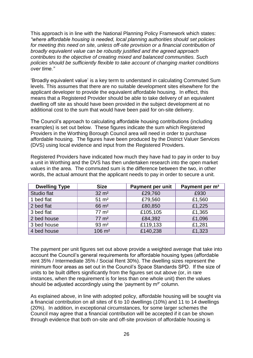This approach is in line with the National Planning Policy Framework which states: *"where affordable housing is needed, local planning authorities should set policies for meeting this need on site, unless off-site provision or a financial contribution of broadly equivalent value can be robustly justified and the agreed approach contributes to the objective of creating mixed and balanced communities. Such policies should be sufficiently flexible to take account of changing market conditions over time."*

'Broadly equivalent value' is a key term to understand in calculating Commuted Sum levels. This assumes that there are no suitable development sites elsewhere for the applicant developer to provide the equivalent affordable housing. In effect, this means that a Registered Provider should be able to take delivery of an equivalent dwelling off site as should have been provided in the subject development at no additional cost to the sum that would have been paid for on-site delivery.

The Council's approach to calculating affordable housing contributions (including examples) is set out below. These figures indicate the sum which Registered Providers in the Worthing Borough Council area will need in order to purchase affordable housing. The figures have been produced by the District Valuer Services (DVS) using local evidence and input from the Registered Providers.

Registered Providers have indicated how much they have had to pay in order to buy a unit in Worthing and the DVS has then undertaken research into the open market values in the area. The commuted sum is the difference between the two, in other words, the actual amount that the applicant needs to pay in order to secure a unit.

| <b>Dwelling Type</b> | <b>Size</b>         | <b>Payment per unit</b> | Payment per m <sup>2</sup> |
|----------------------|---------------------|-------------------------|----------------------------|
| Studio flat          | $32 \, \text{m}^2$  | £29,760                 | £930                       |
| 1 bed flat           | $51 \text{ m}^2$    | £79,560                 | £1,560                     |
| 2 bed flat           | $66 \text{ m}^2$    | £80,850                 | £1,225                     |
| 3 bed flat           | $77 \text{ m}^2$    | £105,105                | £1,365                     |
| 2 bed house          | $77 \text{ m}^2$    | £84,392                 | £1,096                     |
| 3 bed house          | $93 \text{ m}^2$    | £119,133                | £1,281                     |
| 4 bed house          | $106 \; \text{m}^2$ | £140,238                | £1,323                     |

The payment per unit figures set out above provide a weighted average that take into account the Council's general requirements for affordable housing types (affordable rent 35% / Intermediate 35% / Social Rent 30%). The dwelling sizes represent the minimum floor areas as set out in the Council's Space Standards SPD. If the size of units to be built differs significantly from the figures set out above (or, in rare instances, when the requirement is for less than one whole unit) then the values should be adjusted accordingly using the 'payment by m<sup>2'</sup> column.

As explained above, in line with adopted policy, affordable housing will be sought via a financial contribution on all sites of 6 to 10 dwellings (10%) and 11 to 14 dwellings (20%). In addition, in exceptional circumstances, for some larger schemes the Council may agree that a financial contribution will be accepted if it can be shown through evidence that both on-site and off-site provision of affordable housing is